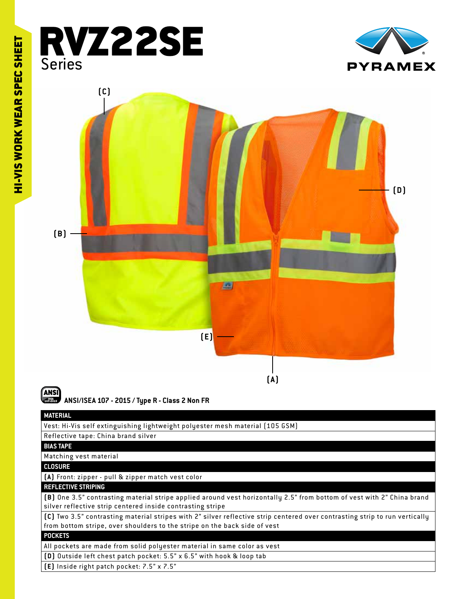





**ANSI/ISEA 107 - 2015 / Type R - Class 2 Non FR**

## **MATERIAL**

Vest: Hi-Vis self extinguishing lightweight polyester mesh material (105 GSM)

#### Reflective tape: China brand silver

**BIAS TAPE**

### Matching vest material

**CLOSURE**

### **(A)** Front: zipper - pull & zipper match vest color

#### **REFLECTIVE STRIPING**

**(B)** One 3.5" contrasting material stripe applied around vest horizontally 2.5" from bottom of vest with 2" China brand silver reflective strip centered inside contrasting stripe

**(C)** Two 3.5" contrasting material stripes with 2" silver reflective strip centered over contrasting strip to run ver tically from bottom stripe, over shoulders to the stripe on the back side of vest

#### **POCKETS**

All pockets are made from solid polyester material in same color as vest

**(D)** Outside left chest patch pocket: 5.5" x 6.5" with hook & loop tab

**(E)** Inside right patch pocket: 7.5" x 7.5"